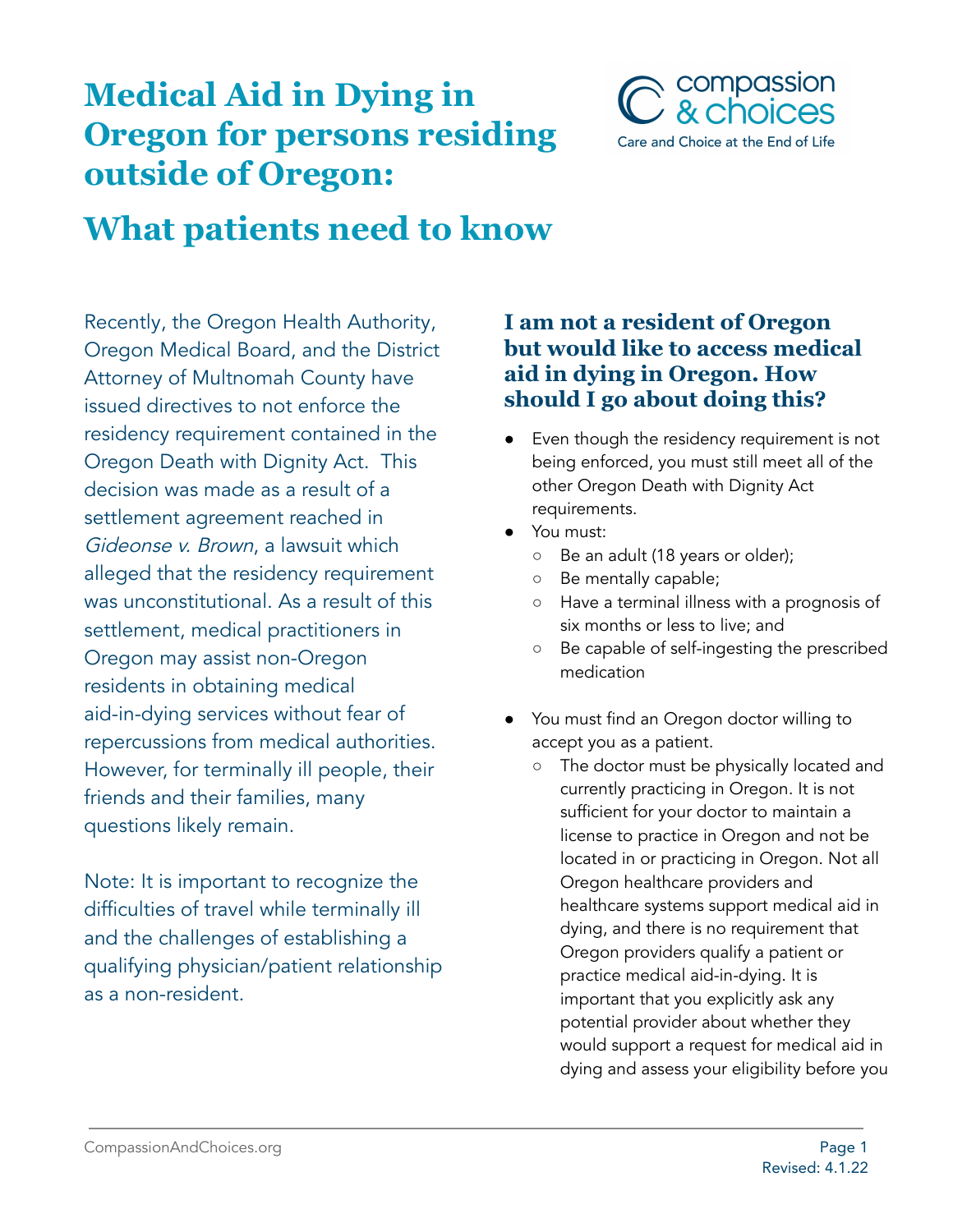# **Medical Aid in Dying in Oregon for persons residing outside of Oregon:**



# **What patients need to know**

Recently, the Oregon Health Authority, Oregon Medical Board, and the District Attorney of Multnomah County have issued directives to not enforce the residency requirement contained in the Oregon Death with Dignity Act. This decision was made as a result of a settlement agreement reached in Gideonse v. Brown, a lawsuit which alleged that the residency requirement was unconstitutional. As a result of this settlement, medical practitioners in Oregon may assist non-Oregon residents in obtaining medical aid-in-dying services without fear of repercussions from medical authorities. However, for terminally ill people, their friends and their families, many questions likely remain.

Note: It is important to recognize the difficulties of travel while terminally ill and the challenges of establishing a qualifying physician/patient relationship as a non-resident.

### **I am not a resident of Oregon but would like to access medical aid in dying in Oregon. How should I go about doing this?**

- Even though the residency requirement is not being enforced, you must still meet all of the other Oregon Death with Dignity Act requirements.
- You must:
	- Be an adult (18 years or older);
	- Be mentally capable;
	- Have a terminal illness with a prognosis of six months or less to live; and
	- Be capable of self-ingesting the prescribed medication
- You must find an Oregon doctor willing to accept you as a patient.
	- The doctor must be physically located and currently practicing in Oregon. It is not sufficient for your doctor to maintain a license to practice in Oregon and not be located in or practicing in Oregon. Not all Oregon healthcare providers and healthcare systems support medical aid in dying, and there is no requirement that Oregon providers qualify a patient or practice medical aid-in-dying. It is important that you explicitly ask any potential provider about whether they would support a request for medical aid in dying and assess your eligibility before you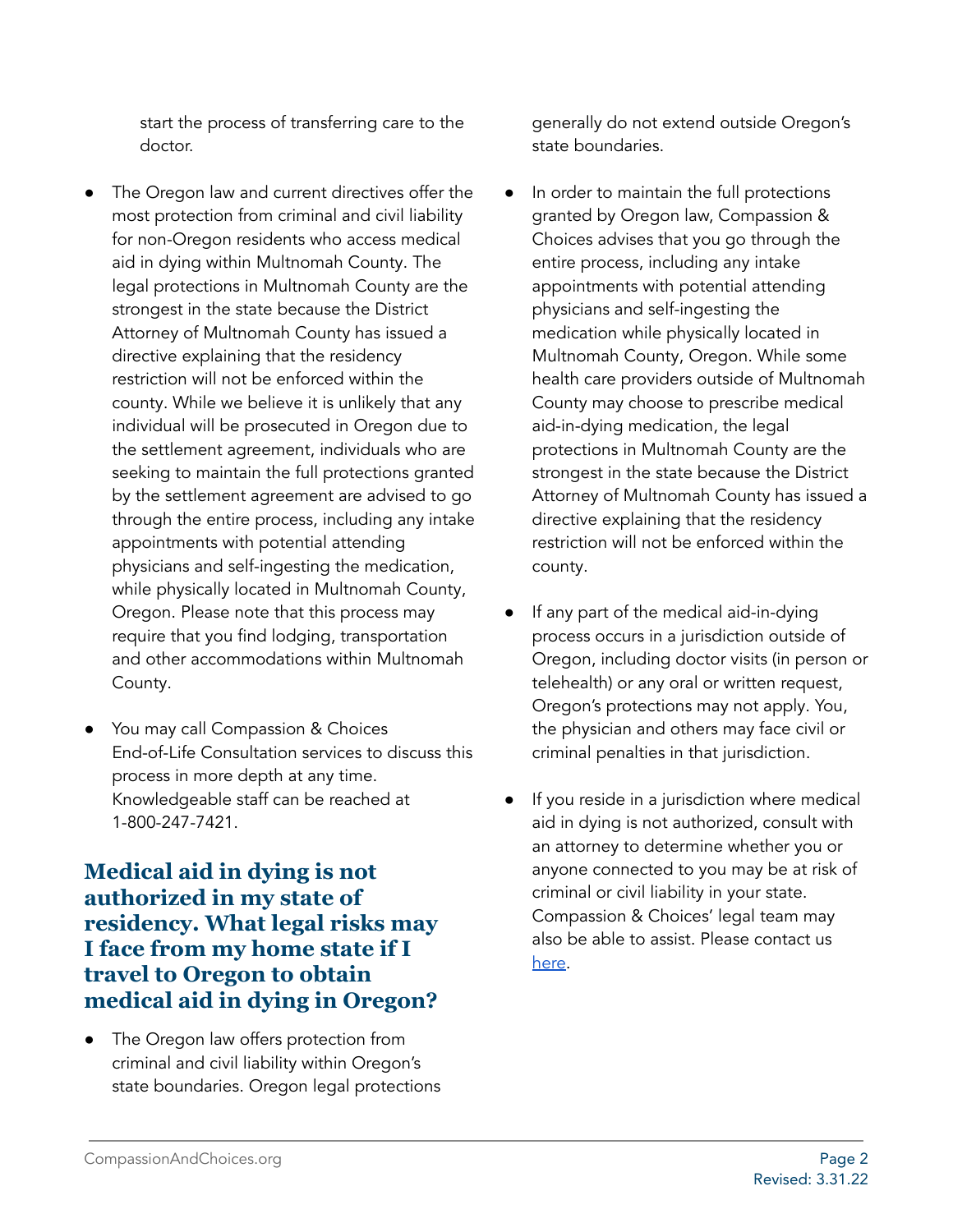start the process of transferring care to the doctor.

- The Oregon law and current directives offer the most protection from criminal and civil liability for non-Oregon residents who access medical aid in dying within Multnomah County. The legal protections in Multnomah County are the strongest in the state because the District Attorney of Multnomah County has issued a directive explaining that the residency restriction will not be enforced within the county. While we believe it is unlikely that any individual will be prosecuted in Oregon due to the settlement agreement, individuals who are seeking to maintain the full protections granted by the settlement agreement are advised to go through the entire process, including any intake appointments with potential attending physicians and self-ingesting the medication, while physically located in Multnomah County, Oregon. Please note that this process may require that you find lodging, transportation and other accommodations within Multnomah County.
- You may call Compassion & Choices End-of-Life Consultation services to discuss this process in more depth at any time. Knowledgeable staff can be reached at 1-800-247-7421.

### **Medical aid in dying is not authorized in my state of residency. What legal risks may I face from my home state if I travel to Oregon to obtain medical aid in dying in Oregon?**

The Oregon law offers protection from criminal and civil liability within Oregon's state boundaries. Oregon legal protections generally do not extend outside Oregon's state boundaries.

- In order to maintain the full protections granted by Oregon law, Compassion & Choices advises that you go through the entire process, including any intake appointments with potential attending physicians and self-ingesting the medication while physically located in Multnomah County, Oregon. While some health care providers outside of Multnomah County may choose to prescribe medical aid-in-dying medication, the legal protections in Multnomah County are the strongest in the state because the District Attorney of Multnomah County has issued a directive explaining that the residency restriction will not be enforced within the county.
- If any part of the medical aid-in-dying process occurs in a jurisdiction outside of Oregon, including doctor visits (in person or telehealth) or any oral or written request, Oregon's protections may not apply. You, the physician and others may face civil or criminal penalties in that jurisdiction.
- If you reside in a jurisdiction where medical aid in dying is not authorized, consult with an attorney to determine whether you or anyone connected to you may be at risk of criminal or civil liability in your state. Compassion & Choices' legal team may also be able to assist. Please contact us [here.](https://secure.everyaction.com/Gx1QcL5tL0intDt5ZYVK4A2)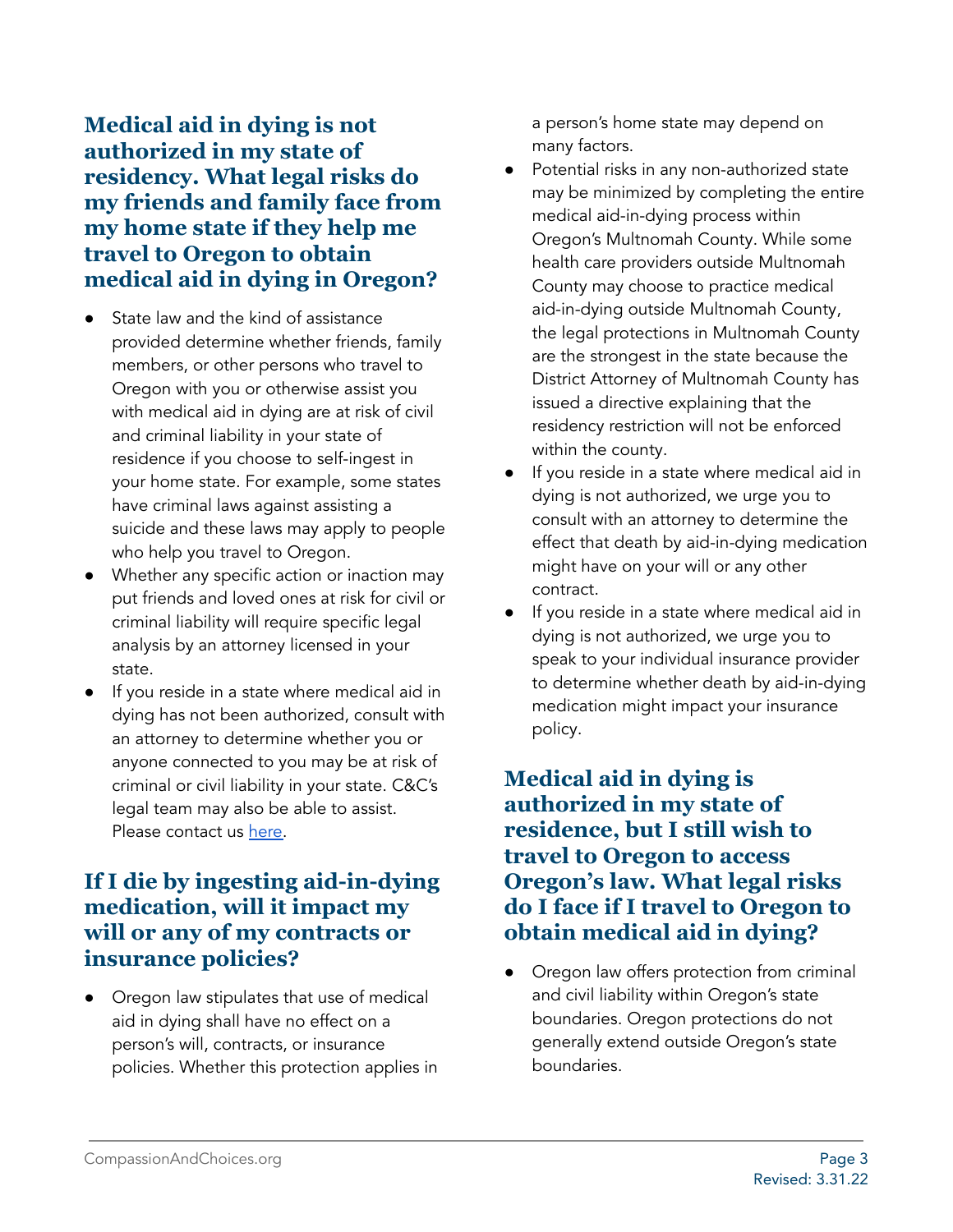**Medical aid in dying is not authorized in my state of residency. What legal risks do my friends and family face from my home state if they help me travel to Oregon to obtain medical aid in dying in Oregon?**

- State law and the kind of assistance provided determine whether friends, family members, or other persons who travel to Oregon with you or otherwise assist you with medical aid in dying are at risk of civil and criminal liability in your state of residence if you choose to self-ingest in your home state. For example, some states have criminal laws against assisting a suicide and these laws may apply to people who help you travel to Oregon.
- Whether any specific action or inaction may put friends and loved ones at risk for civil or criminal liability will require specific legal analysis by an attorney licensed in your state.
- If you reside in a state where medical aid in dying has not been authorized, consult with an attorney to determine whether you or anyone connected to you may be at risk of criminal or civil liability in your state. C&C's legal team may also be able to assist. Please contact us [here.](https://secure.everyaction.com/Gx1QcL5tL0intDt5ZYVK4A2)

### **If I die by ingesting aid-in-dying medication, will it impact my will or any of my contracts or insurance policies?**

Oregon law stipulates that use of medical aid in dying shall have no effect on a person's will, contracts, or insurance policies. Whether this protection applies in a person's home state may depend on many factors.

- Potential risks in any non-authorized state may be minimized by completing the entire medical aid-in-dying process within Oregon's Multnomah County. While some health care providers outside Multnomah County may choose to practice medical aid-in-dying outside Multnomah County, the legal protections in Multnomah County are the strongest in the state because the District Attorney of Multnomah County has issued a directive explaining that the residency restriction will not be enforced within the county.
- If you reside in a state where medical aid in dying is not authorized, we urge you to consult with an attorney to determine the effect that death by aid-in-dying medication might have on your will or any other contract.
- If you reside in a state where medical aid in dying is not authorized, we urge you to speak to your individual insurance provider to determine whether death by aid-in-dying medication might impact your insurance policy.

#### **Medical aid in dying is authorized in my state of residence, but I still wish to travel to Oregon to access Oregon's law. What legal risks do I face if I travel to Oregon to obtain medical aid in dying?**

• Oregon law offers protection from criminal and civil liability within Oregon's state boundaries. Oregon protections do not generally extend outside Oregon's state boundaries.